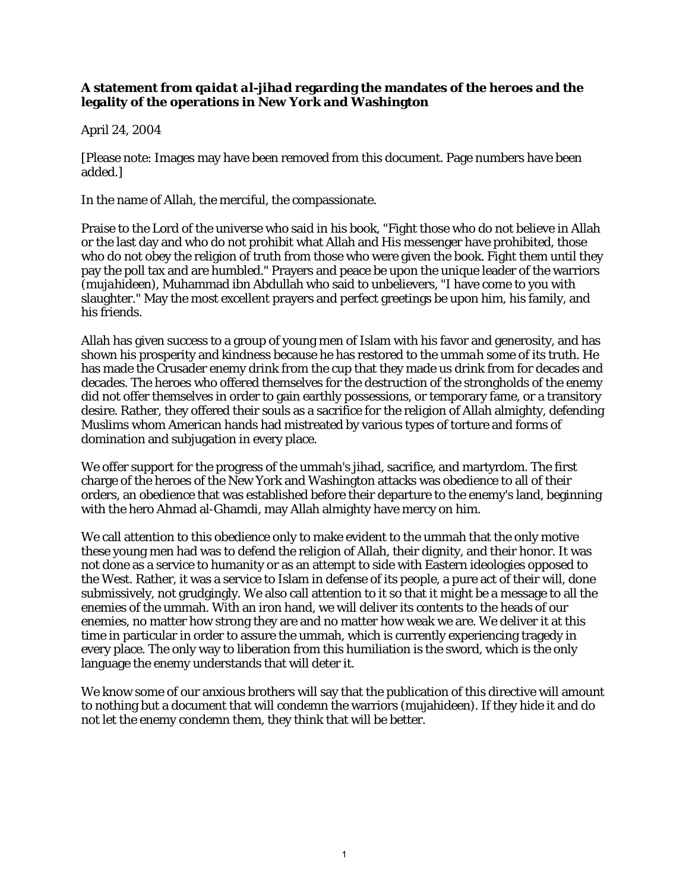## **A statement from** *qaidat al-jihad* **regarding the mandates of the heroes and the legality of the operations in New York and Washington**

April 24, 2004

[Please note: Images may have been removed from this document. Page numbers have been added.]

In the name of Allah, the merciful, the compassionate.

Praise to the Lord of the universe who said in his book, "Fight those who do not believe in Allah or the last day and who do not prohibit what Allah and His messenger have prohibited, those who do not obey the religion of truth from those who were given the book. Fight them until they pay the poll tax and are humbled." Prayers and peace be upon the unique leader of the warriors (*mujahideen*), Muhammad ibn Abdullah who said to unbelievers, "I have come to you with slaughter." May the most excellent prayers and perfect greetings be upon him, his family, and his friends.

Allah has given success to a group of young men of Islam with his favor and generosity, and has shown his prosperity and kindness because he has restored to the *ummah* some of its truth. He has made the Crusader enemy drink from the cup that they made us drink from for decades and decades. The heroes who offered themselves for the destruction of the strongholds of the enemy did not offer themselves in order to gain earthly possessions, or temporary fame, or a transitory desire. Rather, they offered their souls as a sacrifice for the religion of Allah almighty, defending Muslims whom American hands had mistreated by various types of torture and forms of domination and subjugation in every place.

We offer support for the progress of the ummah's jihad, sacrifice, and martyrdom. The first charge of the heroes of the New York and Washington attacks was obedience to all of their orders, an obedience that was established before their departure to the enemy's land, beginning with the hero Ahmad al-Ghamdi, may Allah almighty have mercy on him.

We call attention to this obedience only to make evident to the ummah that the only motive these young men had was to defend the religion of Allah, their dignity, and their honor. It was not done as a service to humanity or as an attempt to side with Eastern ideologies opposed to the West. Rather, it was a service to Islam in defense of its people, a pure act of their will, done submissively, not grudgingly. We also call attention to it so that it might be a message to all the enemies of the ummah. With an iron hand, we will deliver its contents to the heads of our enemies, no matter how strong they are and no matter how weak we are. We deliver it at this time in particular in order to assure the ummah, which is currently experiencing tragedy in every place. The only way to liberation from this humiliation is the sword, which is the only language the enemy understands that will deter it.

We know some of our anxious brothers will say that the publication of this directive will amount to nothing but a document that will condemn the warriors (mujahideen). If they hide it and do not let the enemy condemn them, they think that will be better.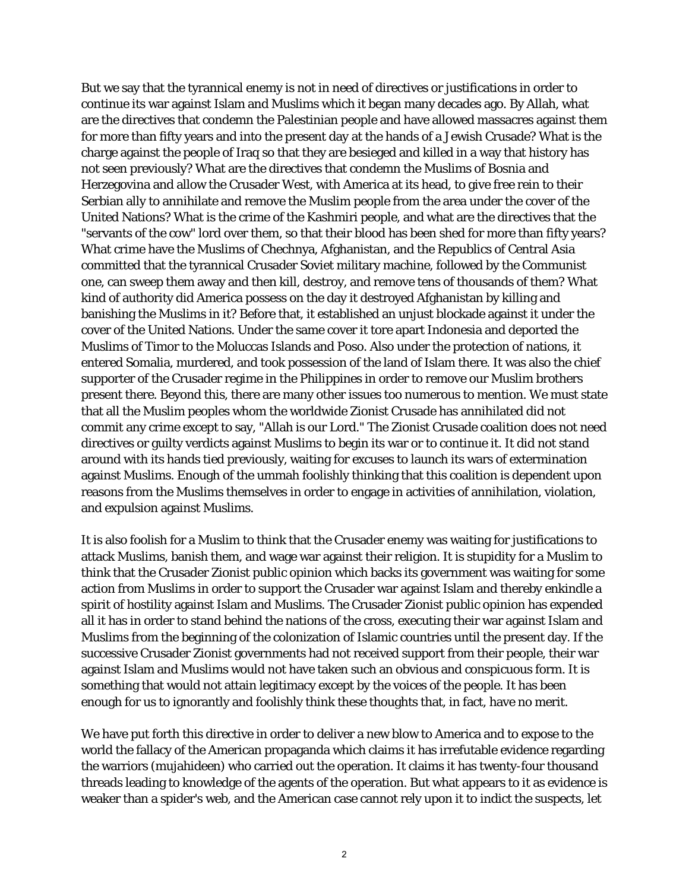But we say that the tyrannical enemy is not in need of directives or justifications in order to continue its war against Islam and Muslims which it began many decades ago. By Allah, what are the directives that condemn the Palestinian people and have allowed massacres against them for more than fifty years and into the present day at the hands of a Jewish Crusade? What is the charge against the people of Iraq so that they are besieged and killed in a way that history has not seen previously? What are the directives that condemn the Muslims of Bosnia and Herzegovina and allow the Crusader West, with America at its head, to give free rein to their Serbian ally to annihilate and remove the Muslim people from the area under the cover of the United Nations? What is the crime of the Kashmiri people, and what are the directives that the "servants of the cow" lord over them, so that their blood has been shed for more than fifty years? What crime have the Muslims of Chechnya, Afghanistan, and the Republics of Central Asia committed that the tyrannical Crusader Soviet military machine, followed by the Communist one, can sweep them away and then kill, destroy, and remove tens of thousands of them? What kind of authority did America possess on the day it destroyed Afghanistan by killing and banishing the Muslims in it? Before that, it established an unjust blockade against it under the cover of the United Nations. Under the same cover it tore apart Indonesia and deported the Muslims of Timor to the Moluccas Islands and Poso. Also under the protection of nations, it entered Somalia, murdered, and took possession of the land of Islam there. It was also the chief supporter of the Crusader regime in the Philippines in order to remove our Muslim brothers present there. Beyond this, there are many other issues too numerous to mention. We must state that all the Muslim peoples whom the worldwide Zionist Crusade has annihilated did not commit any crime except to say, "Allah is our Lord." The Zionist Crusade coalition does not need directives or guilty verdicts against Muslims to begin its war or to continue it. It did not stand around with its hands tied previously, waiting for excuses to launch its wars of extermination against Muslims. Enough of the ummah foolishly thinking that this coalition is dependent upon reasons from the Muslims themselves in order to engage in activities of annihilation, violation, and expulsion against Muslims.

It is also foolish for a Muslim to think that the Crusader enemy was waiting for justifications to attack Muslims, banish them, and wage war against their religion. It is stupidity for a Muslim to think that the Crusader Zionist public opinion which backs its government was waiting for some action from Muslims in order to support the Crusader war against Islam and thereby enkindle a spirit of hostility against Islam and Muslims. The Crusader Zionist public opinion has expended all it has in order to stand behind the nations of the cross, executing their war against Islam and Muslims from the beginning of the colonization of Islamic countries until the present day. If the successive Crusader Zionist governments had not received support from their people, their war against Islam and Muslims would not have taken such an obvious and conspicuous form. It is something that would not attain legitimacy except by the voices of the people. It has been enough for us to ignorantly and foolishly think these thoughts that, in fact, have no merit.

We have put forth this directive in order to deliver a new blow to America and to expose to the world the fallacy of the American propaganda which claims it has irrefutable evidence regarding the warriors (mujahideen) who carried out the operation. It claims it has twenty-four thousand threads leading to knowledge of the agents of the operation. But what appears to it as evidence is weaker than a spider's web, and the American case cannot rely upon it to indict the suspects, let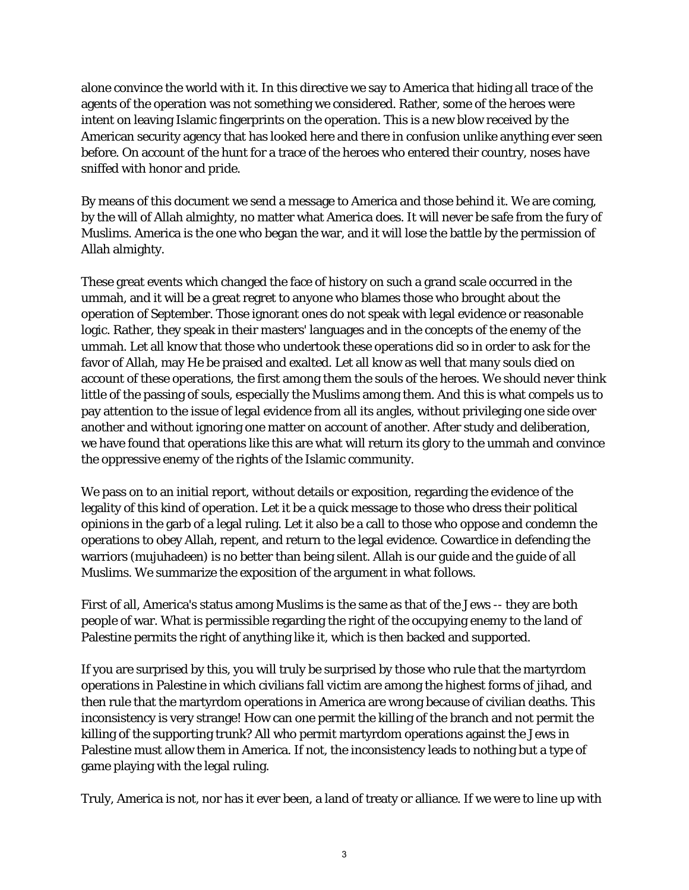alone convince the world with it. In this directive we say to America that hiding all trace of the agents of the operation was not something we considered. Rather, some of the heroes were intent on leaving Islamic fingerprints on the operation. This is a new blow received by the American security agency that has looked here and there in confusion unlike anything ever seen before. On account of the hunt for a trace of the heroes who entered their country, noses have sniffed with honor and pride.

By means of this document we send a message to America and those behind it. We are coming, by the will of Allah almighty, no matter what America does. It will never be safe from the fury of Muslims. America is the one who began the war, and it will lose the battle by the permission of Allah almighty.

These great events which changed the face of history on such a grand scale occurred in the ummah, and it will be a great regret to anyone who blames those who brought about the operation of September. Those ignorant ones do not speak with legal evidence or reasonable logic. Rather, they speak in their masters' languages and in the concepts of the enemy of the ummah. Let all know that those who undertook these operations did so in order to ask for the favor of Allah, may He be praised and exalted. Let all know as well that many souls died on account of these operations, the first among them the souls of the heroes. We should never think little of the passing of souls, especially the Muslims among them. And this is what compels us to pay attention to the issue of legal evidence from all its angles, without privileging one side over another and without ignoring one matter on account of another. After study and deliberation, we have found that operations like this are what will return its glory to the ummah and convince the oppressive enemy of the rights of the Islamic community.

We pass on to an initial report, without details or exposition, regarding the evidence of the legality of this kind of operation. Let it be a quick message to those who dress their political opinions in the garb of a legal ruling. Let it also be a call to those who oppose and condemn the operations to obey Allah, repent, and return to the legal evidence. Cowardice in defending the warriors (mujuhadeen) is no better than being silent. Allah is our guide and the guide of all Muslims. We summarize the exposition of the argument in what follows.

First of all, America's status among Muslims is the same as that of the Jews -- they are both people of war. What is permissible regarding the right of the occupying enemy to the land of Palestine permits the right of anything like it, which is then backed and supported.

If you are surprised by this, you will truly be surprised by those who rule that the martyrdom operations in Palestine in which civilians fall victim are among the highest forms of jihad, and then rule that the martyrdom operations in America are wrong because of civilian deaths. This inconsistency is very strange! How can one permit the killing of the branch and not permit the killing of the supporting trunk? All who permit martyrdom operations against the Jews in Palestine must allow them in America. If not, the inconsistency leads to nothing but a type of game playing with the legal ruling.

Truly, America is not, nor has it ever been, a land of treaty or alliance. If we were to line up with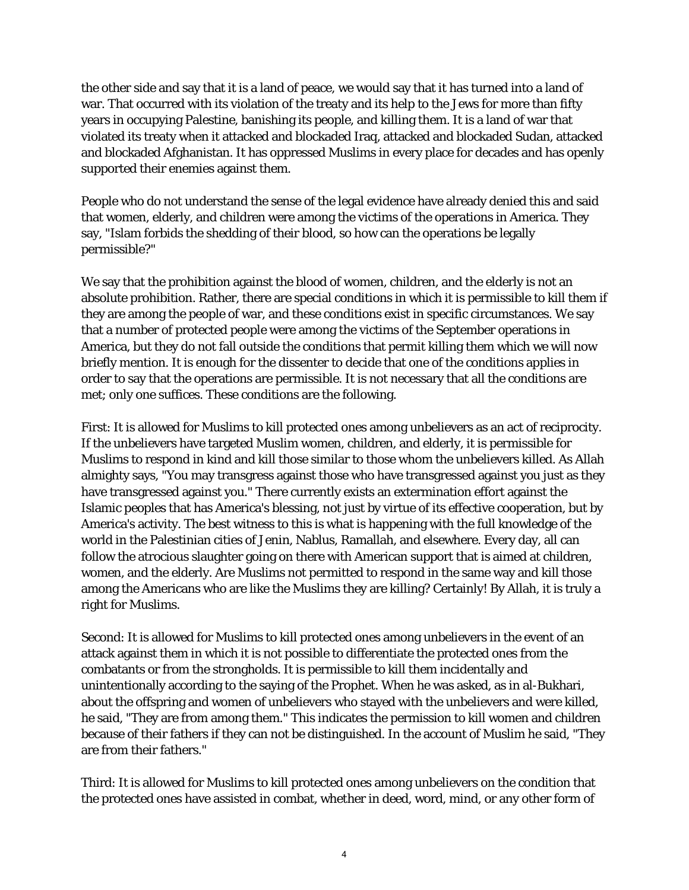the other side and say that it is a land of peace, we would say that it has turned into a land of war. That occurred with its violation of the treaty and its help to the Jews for more than fifty years in occupying Palestine, banishing its people, and killing them. It is a land of war that violated its treaty when it attacked and blockaded Iraq, attacked and blockaded Sudan, attacked and blockaded Afghanistan. It has oppressed Muslims in every place for decades and has openly supported their enemies against them.

People who do not understand the sense of the legal evidence have already denied this and said that women, elderly, and children were among the victims of the operations in America. They say, "Islam forbids the shedding of their blood, so how can the operations be legally permissible?"

We say that the prohibition against the blood of women, children, and the elderly is not an absolute prohibition. Rather, there are special conditions in which it is permissible to kill them if they are among the people of war, and these conditions exist in specific circumstances. We say that a number of protected people were among the victims of the September operations in America, but they do not fall outside the conditions that permit killing them which we will now briefly mention. It is enough for the dissenter to decide that one of the conditions applies in order to say that the operations are permissible. It is not necessary that all the conditions are met; only one suffices. These conditions are the following.

First: It is allowed for Muslims to kill protected ones among unbelievers as an act of reciprocity. If the unbelievers have targeted Muslim women, children, and elderly, it is permissible for Muslims to respond in kind and kill those similar to those whom the unbelievers killed. As Allah almighty says, "You may transgress against those who have transgressed against you just as they have transgressed against you." There currently exists an extermination effort against the Islamic peoples that has America's blessing, not just by virtue of its effective cooperation, but by America's activity. The best witness to this is what is happening with the full knowledge of the world in the Palestinian cities of Jenin, Nablus, Ramallah, and elsewhere. Every day, all can follow the atrocious slaughter going on there with American support that is aimed at children, women, and the elderly. Are Muslims not permitted to respond in the same way and kill those among the Americans who are like the Muslims they are killing? Certainly! By Allah, it is truly a right for Muslims.

Second: It is allowed for Muslims to kill protected ones among unbelievers in the event of an attack against them in which it is not possible to differentiate the protected ones from the combatants or from the strongholds. It is permissible to kill them incidentally and unintentionally according to the saying of the Prophet. When he was asked, as in al-Bukhari, about the offspring and women of unbelievers who stayed with the unbelievers and were killed, he said, "They are from among them." This indicates the permission to kill women and children because of their fathers if they can not be distinguished. In the account of Muslim he said, "They are from their fathers."

Third: It is allowed for Muslims to kill protected ones among unbelievers on the condition that the protected ones have assisted in combat, whether in deed, word, mind, or any other form of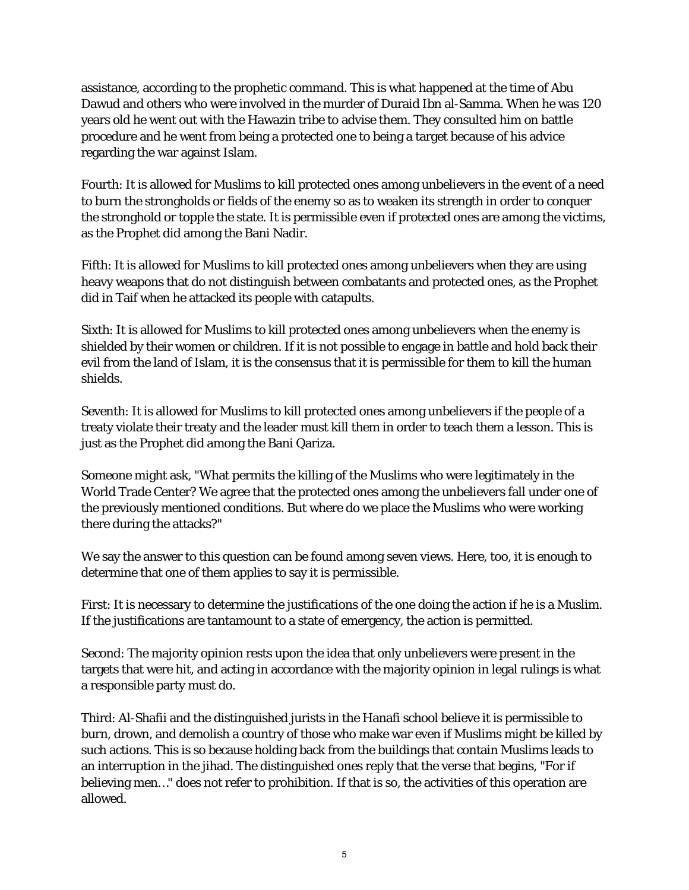assistance, according to the prophetic command. This is what happened at the time of Abu Dawud and others who were involved in the murder of Duraid Ibn al-Samma. When he was 120 years old he went out with the Hawazin tribe to advise them. They consulted him on battle procedure and he went from being a protected one to being a target because of his advice regarding the war against Islam.

Fourth: It is allowed for Muslims to kill protected ones among unbelievers in the event of a need to burn the strongholds or fields of the enemy so as to weaken its strength in order to conquer the stronghold or topple the state. It is permissible even if protected ones are among the victims, as the Prophet did among the Bani Nadir.

Fifth: It is allowed for Muslims to kill protected ones among unbelievers when they are using heavy weapons that do not distinguish between combatants and protected ones, as the Prophet did in Taif when he attacked its people with catapults.

Sixth: It is allowed for Muslims to kill protected ones among unbelievers when the enemy is shielded by their women or children. If it is not possible to engage in battle and hold back their evil from the land of Islam, it is the consensus that it is permissible for them to kill the human shields.

Seventh: It is allowed for Muslims to kill protected ones among unbelievers if the people of a treaty violate their treaty and the leader must kill them in order to teach them a lesson. This is just as the Prophet did among the Bani Qariza.

Someone might ask, "What permits the killing of the Muslims who were legitimately in the World Trade Center? We agree that the protected ones among the unbelievers fall under one of the previously mentioned conditions. But where do we place the Muslims who were working there during the attacks?"

We say the answer to this question can be found among seven views. Here, too, it is enough to determine that one of them applies to say it is permissible.

First: It is necessary to determine the justifications of the one doing the action if he is a Muslim. If the justifications are tantamount to a state of emergency, the action is permitted.

Second: The majority opinion rests upon the idea that only unbelievers were present in the targets that were hit, and acting in accordance with the majority opinion in legal rulings is what a responsible party must do.

Third: Al-Shafii and the distinguished jurists in the Hanafi school believe it is permissible to burn, drown, and demolish a country of those who make war even if Muslims might be killed by such actions. This is so because holding back from the buildings that contain Muslims leads to an interruption in the jihad. The distinguished ones reply that the verse that begins, "For if believing men…" does not refer to prohibition. If that is so, the activities of this operation are allowed.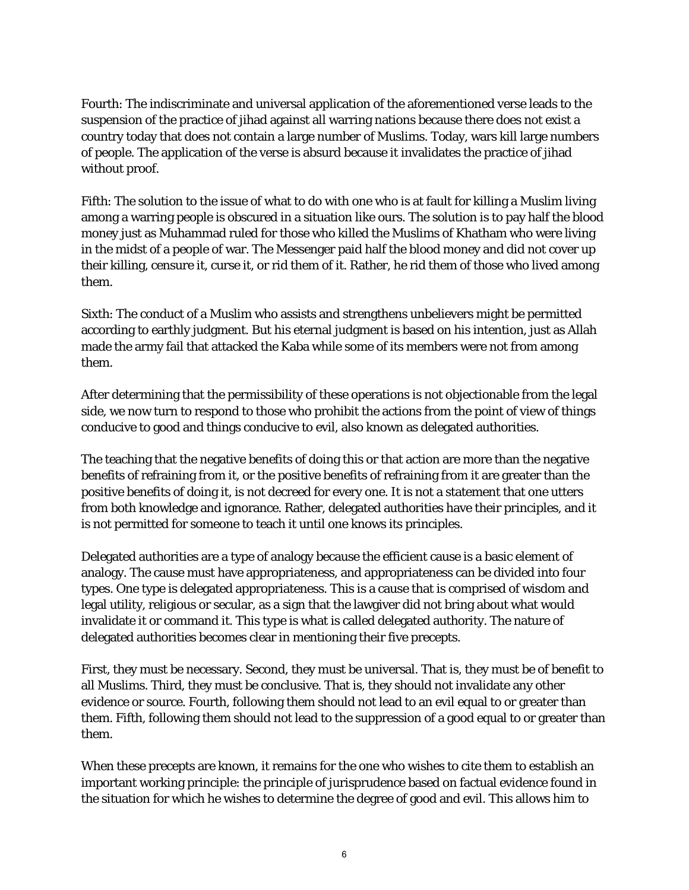Fourth: The indiscriminate and universal application of the aforementioned verse leads to the suspension of the practice of jihad against all warring nations because there does not exist a country today that does not contain a large number of Muslims. Today, wars kill large numbers of people. The application of the verse is absurd because it invalidates the practice of jihad without proof.

Fifth: The solution to the issue of what to do with one who is at fault for killing a Muslim living among a warring people is obscured in a situation like ours. The solution is to pay half the blood money just as Muhammad ruled for those who killed the Muslims of Khatham who were living in the midst of a people of war. The Messenger paid half the blood money and did not cover up their killing, censure it, curse it, or rid them of it. Rather, he rid them of those who lived among them.

Sixth: The conduct of a Muslim who assists and strengthens unbelievers might be permitted according to earthly judgment. But his eternal judgment is based on his intention, just as Allah made the army fail that attacked the Kaba while some of its members were not from among them.

After determining that the permissibility of these operations is not objectionable from the legal side, we now turn to respond to those who prohibit the actions from the point of view of things conducive to good and things conducive to evil, also known as delegated authorities.

The teaching that the negative benefits of doing this or that action are more than the negative benefits of refraining from it, or the positive benefits of refraining from it are greater than the positive benefits of doing it, is not decreed for every one. It is not a statement that one utters from both knowledge and ignorance. Rather, delegated authorities have their principles, and it is not permitted for someone to teach it until one knows its principles.

Delegated authorities are a type of analogy because the efficient cause is a basic element of analogy. The cause must have appropriateness, and appropriateness can be divided into four types. One type is delegated appropriateness. This is a cause that is comprised of wisdom and legal utility, religious or secular, as a sign that the lawgiver did not bring about what would invalidate it or command it. This type is what is called delegated authority. The nature of delegated authorities becomes clear in mentioning their five precepts.

First, they must be necessary. Second, they must be universal. That is, they must be of benefit to all Muslims. Third, they must be conclusive. That is, they should not invalidate any other evidence or source. Fourth, following them should not lead to an evil equal to or greater than them. Fifth, following them should not lead to the suppression of a good equal to or greater than them.

When these precepts are known, it remains for the one who wishes to cite them to establish an important working principle: the principle of jurisprudence based on factual evidence found in the situation for which he wishes to determine the degree of good and evil. This allows him to